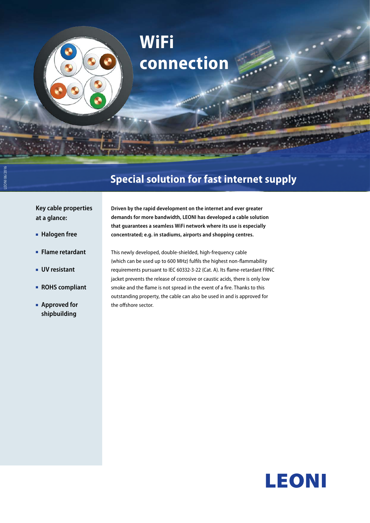# **WiFi connection**

# **Special solution for fast internet supply**

**Key cable properties at a glance:**

■■ **Halogen free**

LEONI 06/2016

- ■■ **Flame retardant**
- ■■ **UV resistant**
- ■■ **ROHS compliant**
- **Approved for shipbuilding**

**Driven by the rapid development on the internet and ever greater demands for more bandwidth, LEONI has developed a cable solution that guarantees a seamless WiFi network where its use is especially concentrated; e.g. in stadiums, airports and shopping centres.** 

This newly developed, double-shielded, high-frequency cable (which can be used up to 600 MHz) fulfils the highest non-flammability requirements pursuant to IEC 60332-3-22 (Cat. A). Its flame-retardant FRNC jacket prevents the release of corrosive or caustic acids, there is only low smoke and the flame is not spread in the event of a fire. Thanks to this outstanding property, the cable can also be used in and is approved for the offshore sector.